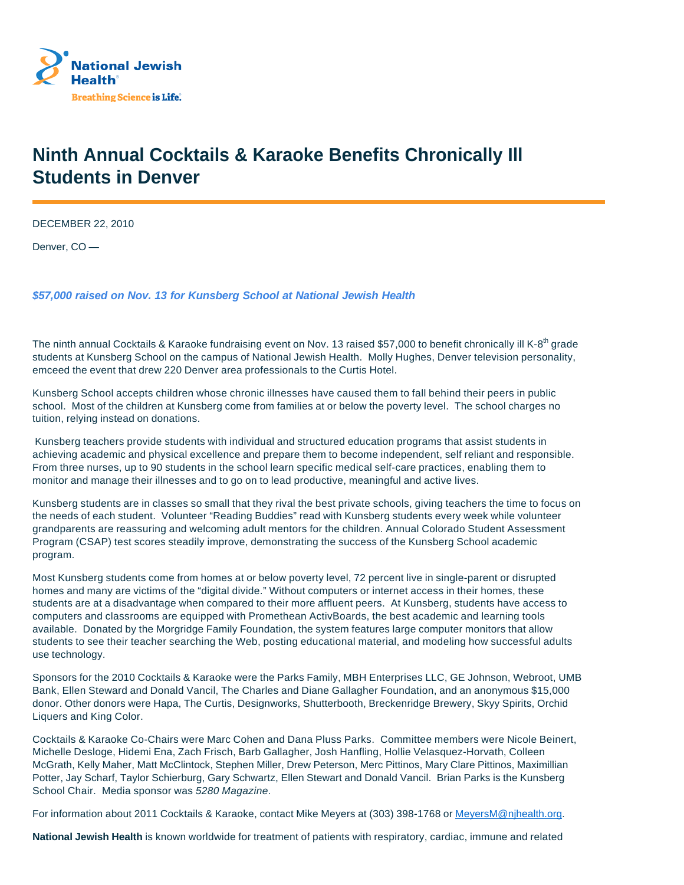

## **Ninth Annual Cocktails & Karaoke Benefits Chronically Ill Students in Denver**

DECEMBER 22, 2010

Denver, CO —

**\$57,000 raised on Nov. 13 for Kunsberg School at National Jewish Health**

The ninth annual Cocktails & Karaoke fundraising event on Nov. 13 raised \$57,000 to benefit chronically ill K-8<sup>th</sup> grade students at Kunsberg School on the campus of National Jewish Health. Molly Hughes, Denver television personality, emceed the event that drew 220 Denver area professionals to the Curtis Hotel.

Kunsberg School accepts children whose chronic illnesses have caused them to fall behind their peers in public school. Most of the children at Kunsberg come from families at or below the poverty level. The school charges no tuition, relying instead on donations.

Kunsberg teachers provide students with individual and structured education programs that assist students in achieving academic and physical excellence and prepare them to become independent, self reliant and responsible. From three nurses, up to 90 students in the school learn specific medical self-care practices, enabling them to monitor and manage their illnesses and to go on to lead productive, meaningful and active lives.

Kunsberg students are in classes so small that they rival the best private schools, giving teachers the time to focus on the needs of each student. Volunteer "Reading Buddies" read with Kunsberg students every week while volunteer grandparents are reassuring and welcoming adult mentors for the children. Annual Colorado Student Assessment Program (CSAP) test scores steadily improve, demonstrating the success of the Kunsberg School academic program.

Most Kunsberg students come from homes at or below poverty level, 72 percent live in single-parent or disrupted homes and many are victims of the "digital divide." Without computers or internet access in their homes, these students are at a disadvantage when compared to their more affluent peers. At Kunsberg, students have access to computers and classrooms are equipped with Promethean ActivBoards, the best academic and learning tools available. Donated by the Morgridge Family Foundation, the system features large computer monitors that allow students to see their teacher searching the Web, posting educational material, and modeling how successful adults use technology.

Sponsors for the 2010 Cocktails & Karaoke were the Parks Family, MBH Enterprises LLC, GE Johnson, Webroot, UMB Bank, Ellen Steward and Donald Vancil, The Charles and Diane Gallagher Foundation, and an anonymous \$15,000 donor. Other donors were Hapa, The Curtis, Designworks, Shutterbooth, Breckenridge Brewery, Skyy Spirits, Orchid Liquers and King Color.

Cocktails & Karaoke Co-Chairs were Marc Cohen and Dana Pluss Parks. Committee members were Nicole Beinert, Michelle Desloge, Hidemi Ena, Zach Frisch, Barb Gallagher, Josh Hanfling, Hollie Velasquez-Horvath, Colleen McGrath, Kelly Maher, Matt McClintock, Stephen Miller, Drew Peterson, Merc Pittinos, Mary Clare Pittinos, Maximillian Potter, Jay Scharf, Taylor Schierburg, Gary Schwartz, Ellen Stewart and Donald Vancil. Brian Parks is the Kunsberg School Chair. Media sponsor was 5280 Magazine.

For information about 2011 Cocktails & Karaoke, contact Mike Meyers at (303) 398-1768 or MeyersM@njhealth.org.

**National Jewish Health** is known worldwide for treatment of patients with respiratory, cardiac, immune and related